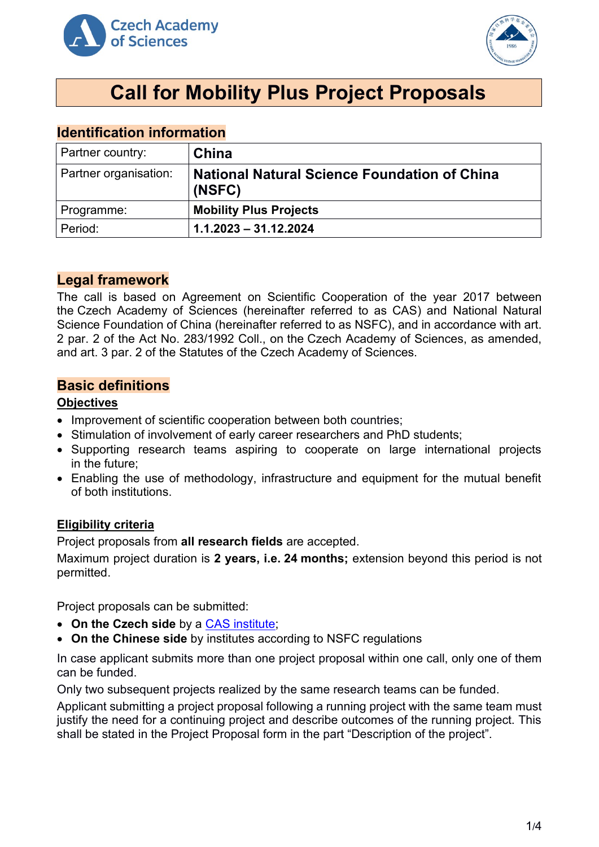



# **Call for Mobility Plus Project Proposals**

# **Identification information**

| Partner country:      | China                                                         |
|-----------------------|---------------------------------------------------------------|
| Partner organisation: | <b>National Natural Science Foundation of China</b><br>(NSFC) |
| Programme:            | <b>Mobility Plus Projects</b>                                 |
| Period:               | $1.1.2023 - 31.12.2024$                                       |

# **Legal framework**

The call is based on Agreement on Scientific Cooperation of the year 2017 between the Czech Academy of Sciences (hereinafter referred to as CAS) and National Natural Science Foundation of China (hereinafter referred to as NSFC), and in accordance with art. 2 par. 2 of the Act No. 283/1992 Coll., on the Czech Academy of Sciences, as amended, and art. 3 par. 2 of the Statutes of the Czech Academy of Sciences.

# **Basic definitions**

## **Objectives**

- Improvement of scientific cooperation between both countries;
- Stimulation of involvement of early career researchers and PhD students;
- Supporting research teams aspiring to cooperate on large international projects in the future;
- Enabling the use of methodology, infrastructure and equipment for the mutual benefit of both institutions.

# **Eligibility criteria**

Project proposals from **all research fields** are accepted.

Maximum project duration is **2 years, i.e. 24 months;** extension beyond this period is not permitted.

Project proposals can be submitted:

- **On the Czech side** by a [CAS institute;](http://www.avcr.cz/en/about-us/cas-structure/research-institutes/)
- **On the Chinese side** by institutes according to NSFC regulations

In case applicant submits more than one project proposal within one call, only one of them can be funded.

Only two subsequent projects realized by the same research teams can be funded.

Applicant submitting a project proposal following a running project with the same team must justify the need for a continuing project and describe outcomes of the running project. This shall be stated in the Project Proposal form in the part "Description of the project".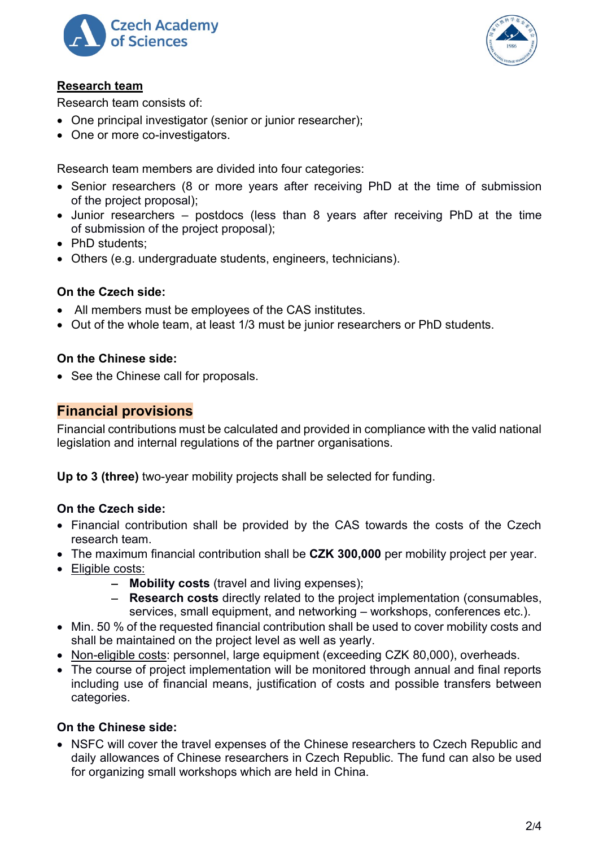



# **Research team**

Research team consists of:

- One principal investigator (senior or junior researcher);
- One or more co-investigators.

Research team members are divided into four categories:

- Senior researchers (8 or more years after receiving PhD at the time of submission of the project proposal);
- Junior researchers postdocs (less than 8 years after receiving PhD at the time of submission of the project proposal);
- PhD students:
- Others (e.g. undergraduate students, engineers, technicians).

# **On the Czech side:**

- All members must be employees of the CAS institutes.
- Out of the whole team, at least 1/3 must be junior researchers or PhD students.

# **On the Chinese side:**

• See the Chinese call for proposals.

# **Financial provisions**

Financial contributions must be calculated and provided in compliance with the valid national legislation and internal regulations of the partner organisations.

**Up to 3 (three)** two-year mobility projects shall be selected for funding.

# **On the Czech side:**

- Financial contribution shall be provided by the CAS towards the costs of the Czech research team.
- The maximum financial contribution shall be **CZK 300,000** per mobility project per year.
- Eligible costs:
	- − **Mobility costs** (travel and living expenses);
	- − **Research costs** directly related to the project implementation (consumables, services, small equipment, and networking – workshops, conferences etc.).
- Min. 50 % of the requested financial contribution shall be used to cover mobility costs and shall be maintained on the project level as well as yearly.
- Non-eligible costs: personnel, large equipment (exceeding CZK 80,000), overheads.
- The course of project implementation will be monitored through annual and final reports including use of financial means, justification of costs and possible transfers between categories.

# **On the Chinese side:**

• NSFC will cover the travel expenses of the Chinese researchers to Czech Republic and daily allowances of Chinese researchers in Czech Republic. The fund can also be used for organizing small workshops which are held in China.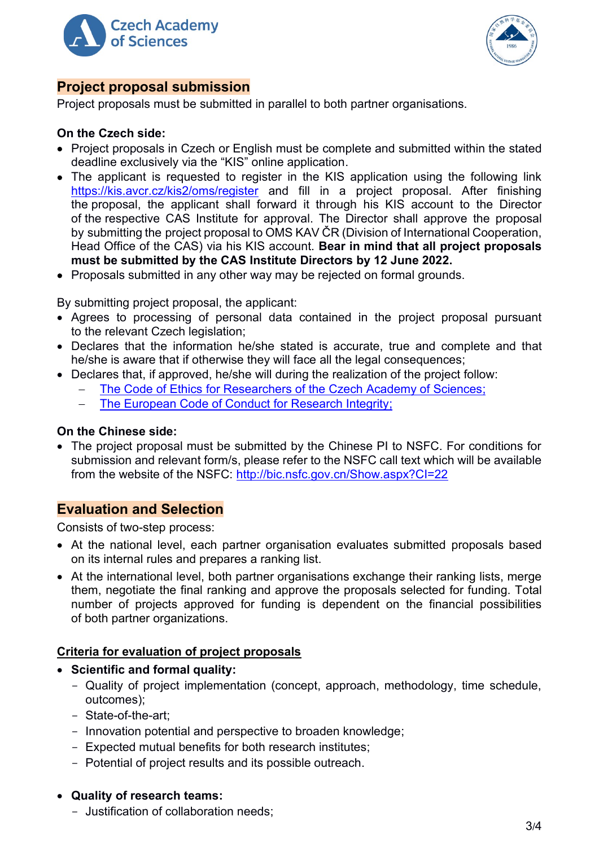



# **Project proposal submission**

Project proposals must be submitted in parallel to both partner organisations.

## **On the Czech side:**

- Project proposals in Czech or English must be complete and submitted within the stated deadline exclusively via the "KIS" online application.
- The applicant is requested to register in the KIS application using the following link <https://kis.avcr.cz/kis2/oms/register> and fill in a project proposal. After finishing the proposal, the applicant shall forward it through his KIS account to the Director of the respective CAS Institute for approval. The Director shall approve the proposal by submitting the project proposal to OMS KAV ČR (Division of International Cooperation, Head Office of the CAS) via his KIS account. **Bear in mind that all project proposals must be submitted by the CAS Institute Directors by 12 June 2022.**
- Proposals submitted in any other way may be rejected on formal grounds.

By submitting project proposal, the applicant:

- Agrees to processing of personal data contained in the project proposal pursuant to the relevant Czech legislation;
- Declares that the information he/she stated is accurate, true and complete and that he/she is aware that if otherwise they will face all the legal consequences;
- Declares that, if approved, he/she will during the realization of the project follow:
	- The Code of Ethics for Researchers of [the Czech Academy of Sciences;](https://www.avcr.cz/en/about-us/legal-regulations/code-of-ethics-for-researchers-of-the-czech-academy-of-sciences/)
	- The European Code of Conduct for Research Integrity:

#### **On the Chinese side:**

• The project proposal must be submitted by the Chinese PI to NSFC. For conditions for submission and relevant form/s, please refer to the NSFC call text which will be available from the website of the NSFC:<http://bic.nsfc.gov.cn/Show.aspx?CI=22>

# **Evaluation and Selection**

Consists of two-step process:

- At the national level, each partner organisation evaluates submitted proposals based on its internal rules and prepares a ranking list.
- At the international level, both partner organisations exchange their ranking lists, merge them, negotiate the final ranking and approve the proposals selected for funding. Total number of projects approved for funding is dependent on the financial possibilities of both partner organizations.

#### **Criteria for evaluation of project proposals**

#### • **Scientific and formal quality:**

- Quality of project implementation (concept, approach, methodology, time schedule, outcomes);
- State-of-the-art;
- Innovation potential and perspective to broaden knowledge;
- Expected mutual benefits for both research institutes;
- Potential of project results and its possible outreach.

#### • **Quality of research teams:**

- Justification of collaboration needs;